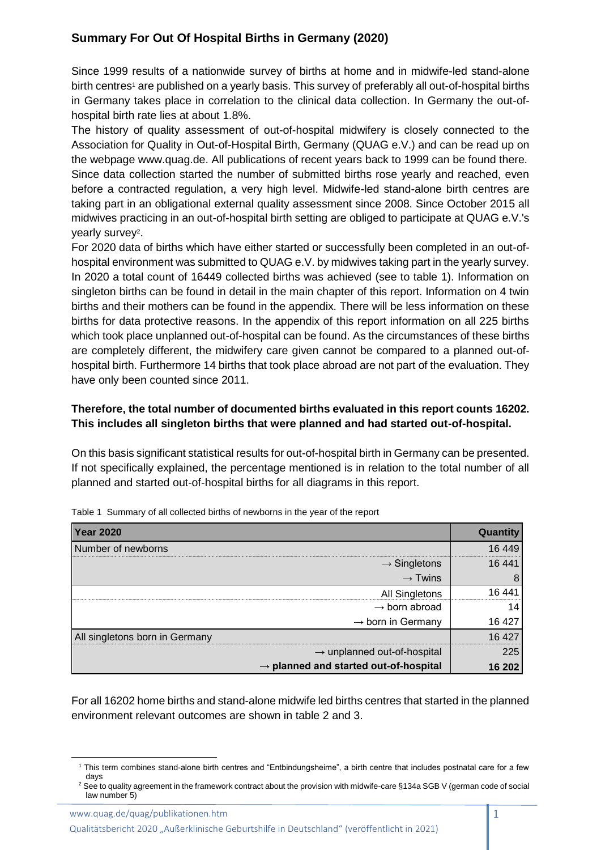## **Summary For Out Of Hospital Births in Germany (2020)**

Since 1999 results of a nationwide survey of births at home and in midwife-led stand-alone birth centres<sup>1</sup> are published on a yearly basis. This survey of preferably all out-of-hospital births in Germany takes place in correlation to the clinical data collection. In Germany the out-ofhospital birth rate lies at about 1.8%.

The history of quality assessment of out-of-hospital midwifery is closely connected to the Association for Quality in Out-of-Hospital Birth, Germany (QUAG e.V.) and can be read up on the webpage www.quag.de. All publications of recent years back to 1999 can be found there. Since data collection started the number of submitted births rose yearly and reached, even before a contracted regulation, a very high level. Midwife-led stand-alone birth centres are taking part in an obligational external quality assessment since 2008. Since October 2015 all midwives practicing in an out-of-hospital birth setting are obliged to participate at QUAG e.V.'s yearly survey<sup>2</sup>.

For 2020 data of births which have either started or successfully been completed in an out-ofhospital environment was submitted to QUAG e.V. by midwives taking part in the yearly survey. In 2020 a total count of 16449 collected births was achieved (see to table 1). Information on singleton births can be found in detail in the main chapter of this report. Information on 4 twin births and their mothers can be found in the appendix. There will be less information on these births for data protective reasons. In the appendix of this report information on all 225 births which took place unplanned out-of-hospital can be found. As the circumstances of these births are completely different, the midwifery care given cannot be compared to a planned out-ofhospital birth. Furthermore 14 births that took place abroad are not part of the evaluation. They have only been counted since 2011.

## **Therefore, the total number of documented births evaluated in this report counts 16202. This includes all singleton births that were planned and had started out-of-hospital.**

On this basis significant statistical results for out-of-hospital birth in Germany can be presented. If not specifically explained, the percentage mentioned is in relation to the total number of all planned and started out-of-hospital births for all diagrams in this report.

| <b>Year 2020</b>                                  | Quantity |
|---------------------------------------------------|----------|
| Number of newborns                                | 16 449   |
| $\rightarrow$ Singletons                          | 16 441   |
| $\rightarrow$ Twins                               | 8        |
| <b>All Singletons</b>                             | 16 441   |
| $\rightarrow$ born abroad                         | 14       |
| $\rightarrow$ born in Germany                     | 16 427   |
| All singletons born in Germany                    | 16 427   |
| $\rightarrow$ unplanned out-of-hospital           | 225      |
| $\rightarrow$ planned and started out-of-hospital | 16 202   |

Table 1 Summary of all collected births of newborns in the year of the report

For all 16202 home births and stand-alone midwife led births centres that started in the planned environment relevant outcomes are shown in table 2 and 3.

1

Qualitätsbericht 2020 "Außerklinische Geburtshilfe in Deutschland" (veröffentlicht in 2021)

<sup>1</sup> This term combines stand-alone birth centres and "Entbindungsheime", a birth centre that includes postnatal care for a few days

<sup>&</sup>lt;sup>2</sup> See to quality agreement in the framework contract about the provision with midwife-care §134a SGB V (german code of social law number 5)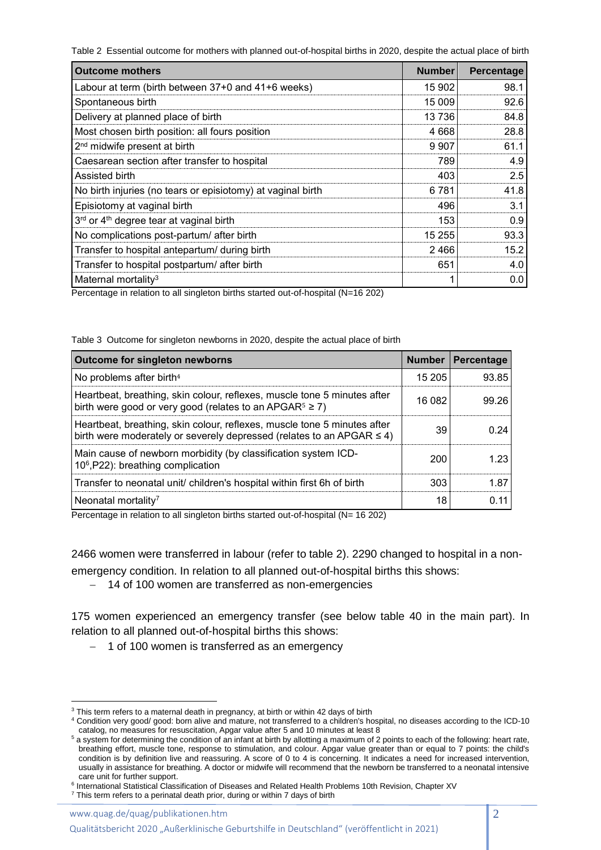Table 2 Essential outcome for mothers with planned out-of-hospital births in 2020, despite the actual place of birth

| <b>Outcome mothers</b>                                      | <b>Number</b> | Percentage |
|-------------------------------------------------------------|---------------|------------|
| Labour at term (birth between 37+0 and 41+6 weeks)          | 15 902        | 98.1       |
| Spontaneous birth                                           | 15 009        | 92.6       |
| Delivery at planned place of birth                          | 13736         | 84.8       |
| Most chosen birth position: all fours position              | 4668          | 28.8       |
| 2 <sup>nd</sup> midwife present at birth                    | 9 9 0 7       | 61.1       |
| Caesarean section after transfer to hospital                | 789           | 4.9        |
| Assisted birth                                              | 403           | 2.5        |
| No birth injuries (no tears or episiotomy) at vaginal birth | 6781          | 41.8       |
| Episiotomy at vaginal birth                                 | 496           | 3.1        |
| 3rd or 4 <sup>th</sup> degree tear at vaginal birth         | 153           | 0.9        |
| No complications post-partum/ after birth                   | 15 255        | 93.3       |
| Transfer to hospital antepartum/ during birth               | 2466          | 15.2       |
| Transfer to hospital postpartum/ after birth                | 651           | 4.0        |
| Maternal mortality <sup>3</sup>                             |               | 0.0        |

Percentage in relation to all singleton births started out-of-hospital (N=16 202)

Table 3 Outcome for singleton newborns in 2020, despite the actual place of birth

| <b>Outcome for singleton newborns</b>                                                                                                                  | <b>Number</b> | Percentage |
|--------------------------------------------------------------------------------------------------------------------------------------------------------|---------------|------------|
| No problems after birth <sup>4</sup>                                                                                                                   | 15 205        | 93.85      |
| Heartbeat, breathing, skin colour, reflexes, muscle tone 5 minutes after<br>birth were good or very good (relates to an APGAR $5 \ge 7$ )              | 16 082        | 99.26      |
| Heartbeat, breathing, skin colour, reflexes, muscle tone 5 minutes after<br>birth were moderately or severely depressed (relates to an APGAR $\leq$ 4) | 39            | በ 24       |
| Main cause of newborn morbidity (by classification system ICD-<br>10 <sup>6</sup> , P22): breathing complication                                       | 200           | 1 23       |
| Transfer to neonatal unit/ children's hospital within first 6h of birth                                                                                | 303           | 1.87       |
| Neonatal mortality <sup>7</sup>                                                                                                                        | 18            |            |

Percentage in relation to all singleton births started out-of-hospital (N= 16 202)

2466 women were transferred in labour (refer to table 2). 2290 changed to hospital in a nonemergency condition. In relation to all planned out-of-hospital births this shows:

− 14 of 100 women are transferred as non-emergencies

175 women experienced an emergency transfer (see below table 40 in the main part). In relation to all planned out-of-hospital births this shows:

− 1 of 100 women is transferred as an emergency

www.quag.de/quag/publikationen.htm

1

Qualitätsbericht 2020 "Außerklinische Geburtshilfe in Deutschland" (veröffentlicht in 2021)

<sup>&</sup>lt;sup>3</sup> This term refers to a maternal death in pregnancy, at birth or within 42 days of birth

<sup>4</sup> Condition very good/ good: born alive and mature, not transferred to a children's hospital, no diseases according to the ICD-10 catalog, no measures for resuscitation, Apgar value after 5 and 10 minutes at least 8

<sup>&</sup>lt;sup>5</sup> a system for determining the condition of an infant at birth by allotting a maximum of 2 points to each of the following: heart rate, breathing effort, muscle tone, response to stimulation, and colour. Apgar value greater than or equal to 7 points: the child's condition is by definition live and reassuring. A score of 0 to 4 is concerning. It indicates a need for increased intervention, usually in assistance for breathing. A doctor or midwife will recommend that the newborn be transferred to a neonatal intensive care unit for further support.

<sup>&</sup>lt;sup>6</sup> International Statistical Classification of Diseases and Related Health Problems 10th Revision, Chapter XV

 $7$  This term refers to a perinatal death prior, during or within 7 days of birth